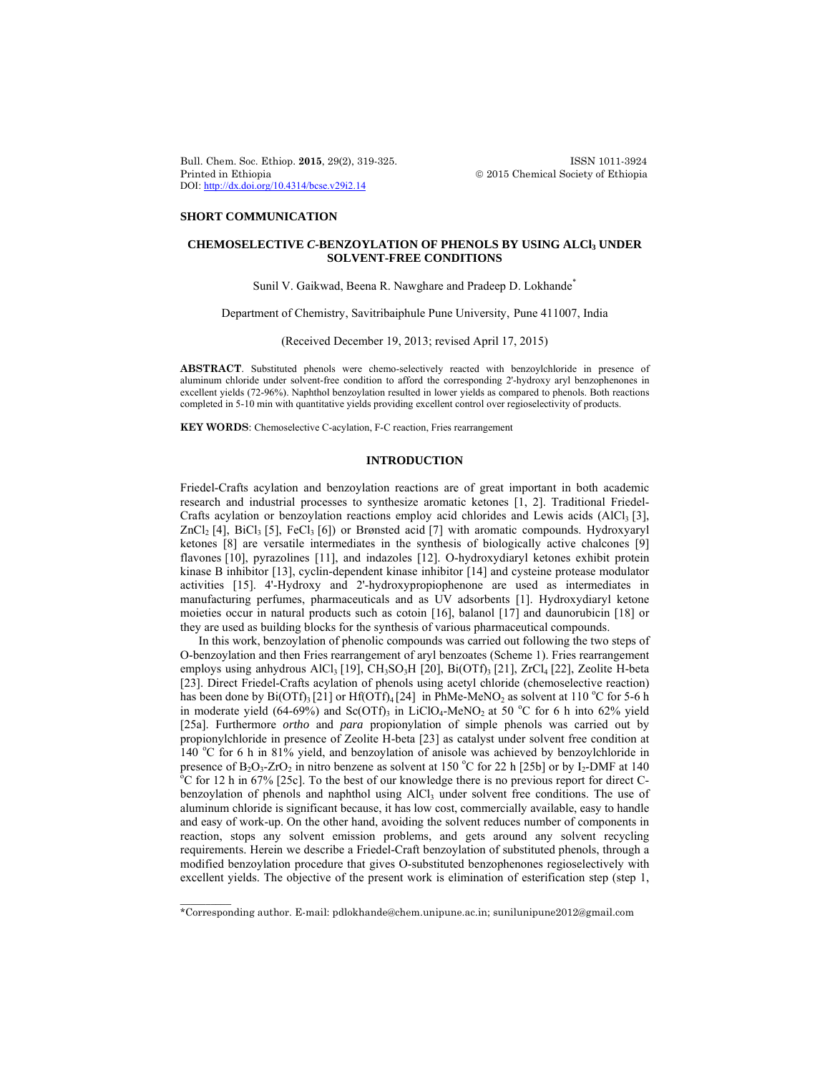Bull. Chem. Soc. Ethiop. **2015**, 29(2), 319-325. ISSN 1011-3924 Printed in Ethiopia 2015 Chemical Society of Ethiopia DOI: http://dx.doi.org/10.4314/bcse.v29i2.14

### **SHORT COMMUNICATION**

 $\overline{\phantom{a}}$ 

# **CHEMOSELECTIVE** *C***-BENZOYLATION OF PHENOLS BY USING ALCl3 UNDER SOLVENT-FREE CONDITIONS**

Sunil V. Gaikwad, Beena R. Nawghare and Pradeep D. Lokhande<sup>\*</sup>

Department of Chemistry, Savitribaiphule Pune University, Pune 411007, India

(Received December 19, 2013; revised April 17, 2015)

**ABSTRACT**. Substituted phenols were chemo-selectively reacted with benzoylchloride in presence of aluminum chloride under solvent-free condition to afford the corresponding 2'-hydroxy aryl benzophenones in excellent yields (72-96%). Naphthol benzoylation resulted in lower yields as compared to phenols. Both reactions completed in 5-10 min with quantitative yields providing excellent control over regioselectivity of products.

**KEY WORDS**: Chemoselective C-acylation, F-C reaction, Fries rearrangement

## **INTRODUCTION**

Friedel-Crafts acylation and benzoylation reactions are of great important in both academic research and industrial processes to synthesize aromatic ketones [1, 2]. Traditional Friedel-Crafts acylation or benzoylation reactions employ acid chlorides and Lewis acids  $(AICI<sub>3</sub> [3],$  $ZnCl<sub>2</sub>$  [4], BiCl<sub>3</sub> [5], FeCl<sub>3</sub> [6]) or Brønsted acid [7] with aromatic compounds. Hydroxyaryl ketones [8] are versatile intermediates in the synthesis of biologically active chalcones [9] flavones [10], pyrazolines [11], and indazoles [12]. O-hydroxydiaryl ketones exhibit protein kinase B inhibitor [13], cyclin-dependent kinase inhibitor [14] and cysteine protease modulator activities [15]. 4'-Hydroxy and 2'-hydroxypropiophenone are used as intermediates in manufacturing perfumes, pharmaceuticals and as UV adsorbents [1]. Hydroxydiaryl ketone moieties occur in natural products such as cotoin [16], balanol [17] and daunorubicin [18] or they are used as building blocks for the synthesis of various pharmaceutical compounds.

In this work, benzoylation of phenolic compounds was carried out following the two steps of O-benzoylation and then Fries rearrangement of aryl benzoates (Scheme 1). Fries rearrangement employs using anhydrous AlCl<sub>3</sub> [19], CH<sub>3</sub>SO<sub>3</sub>H [20], Bi(OTf)<sub>3</sub> [21], ZrCl<sub>4</sub> [22], Zeolite H-beta [23]. Direct Friedel-Crafts acylation of phenols using acetyl chloride (chemoselective reaction) has been done by  $Bi(OTf)_{3}$  [21] or  $Hf(OTf)_{4}$  [24] in PhMe-MeNO<sub>2</sub> as solvent at 110 °C for 5-6 h in moderate yield (64-69%) and Sc(OTf)<sub>3</sub> in LiClO<sub>4</sub>-MeNO<sub>2</sub> at 50 °C for 6 h into 62% yield [25a]. Furthermore *ortho* and *para* propionylation of simple phenols was carried out by propionylchloride in presence of Zeolite H-beta [23] as catalyst under solvent free condition at  $140^{\circ}$ C for 6 h in 81% yield, and benzoylation of anisole was achieved by benzoylchloride in presence of  $B_2O_3$ -ZrO<sub>2</sub> in nitro benzene as solvent at 150 °C for 22 h [25b] or by  $I_2$ -DMF at 140 °C for 12 h in 67% [250]. To the heat of our impulsive three is no previous population of our direct C  $^{\circ}$ C for 12 h in 67% [25c]. To the best of our knowledge there is no previous report for direct Cbenzoylation of phenols and naphthol using  $AICl<sub>3</sub>$  under solvent free conditions. The use of aluminum chloride is significant because, it has low cost, commercially available, easy to handle and easy of work-up. On the other hand, avoiding the solvent reduces number of components in reaction, stops any solvent emission problems, and gets around any solvent recycling requirements. Herein we describe a Friedel-Craft benzoylation of substituted phenols, through a modified benzoylation procedure that gives O-substituted benzophenones regioselectively with excellent yields. The objective of the present work is elimination of esterification step (step 1,

<sup>\*</sup>Corresponding author. E-mail: pdlokhande@chem.unipune.ac.in; sunilunipune2012@gmail.com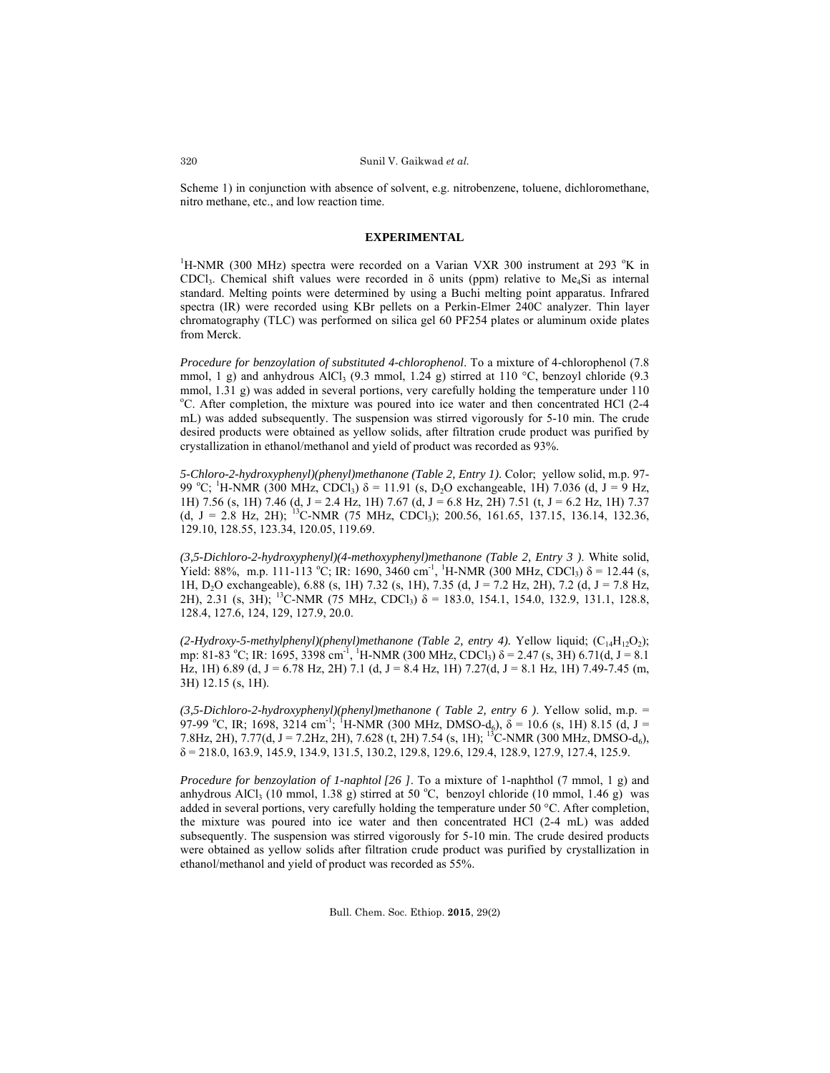Scheme 1) in conjunction with absence of solvent, e.g. nitrobenzene, toluene, dichloromethane, nitro methane, etc., and low reaction time.

### **EXPERIMENTAL**

<sup>1</sup>H-NMR (300 MHz) spectra were recorded on a Varian VXR 300 instrument at 293  $\mathrm{K}$  in CDCl<sub>3</sub>. Chemical shift values were recorded in  $\delta$  units (ppm) relative to Me<sub>4</sub>Si as internal standard. Melting points were determined by using a Buchi melting point apparatus. Infrared spectra (IR) were recorded using KBr pellets on a Perkin-Elmer 240C analyzer. Thin layer chromatography (TLC) was performed on silica gel 60 PF254 plates or aluminum oxide plates from Merck.

*Procedure for benzoylation of substituted 4-chlorophenol*. To a mixture of 4-chlorophenol (7.8 mmol, 1 g) and anhydrous AlCl<sub>3</sub> (9.3 mmol, 1.24 g) stirred at 110 °C, benzoyl chloride (9.3 mmol, 1.31 g) was added in several portions, very carefully holding the temperature under 110 <sup>o</sup>C. After completion, the mixture was poured into ice water and then concentrated HCl (2-4 mL) was added subsequently. The suspension was stirred vigorously for 5-10 min. The crude desired products were obtained as yellow solids, after filtration crude product was purified by crystallization in ethanol/methanol and yield of product was recorded as 93%.

*5-Chloro-2-hydroxyphenyl)(phenyl)methanone (Table 2, Entry 1)*. Color; yellow solid, m.p. 97- 99 °C; <sup>1</sup>H-NMR (300 MHz, CDCl<sub>3</sub>) δ = 11.91 (s, D<sub>2</sub>O exchangeable, 1H) 7.036 (d, J = 9 Hz, 1H) 7.56 (s, 1H) 7.46 (d, J = 2.4 Hz, 1H) 7.67 (d, J = 6.8 Hz, 2H) 7.51 (t, J = 6.2 Hz, 1H) 7.37 (d, J = 2.8 Hz, 2H); <sup>13</sup>C-NMR (75 MHz, CDCl<sub>3</sub>); 200.56, 161.65, 137.15, 136.14, 132.36, 129.10, 128.55, 123.34, 120.05, 119.69.

*(3,5-Dichloro-2-hydroxyphenyl)(4-methoxyphenyl)methanone (Table 2, Entry 3 )*. White solid, Yield: 88%, m.p. 111-113 °C; IR: 1690, 3460 cm<sup>-1</sup>, <sup>1</sup>H-NMR (300 MHz, CDCl<sub>3</sub>)  $\delta$  = 12.44 (s, 1H, D2O exchangeable), 6.88 (s, 1H) 7.32 (s, 1H), 7.35 (d, J = 7.2 Hz, 2H), 7.2 (d, J = 7.8 Hz, 2H), 2.31 (s, 3H); <sup>13</sup>C-NMR (75 MHz, CDCl<sub>3</sub>)  $\delta$  = 183.0, 154.1, 154.0, 132.9, 131.1, 128.8, 128.4, 127.6, 124, 129, 127.9, 20.0.

(2-Hydroxy-5-methylphenyl)(phenyl)methanone (Table 2, entry 4). Yellow liquid; (C<sub>14</sub>H<sub>12</sub>O<sub>2</sub>); mp: 81-83 °C; IR: 1695, 3398 cm<sup>-1</sup>, <sup>1</sup>H-NMR (300 MHz, CDCl<sub>3</sub>)  $\delta$  = 2.47 (s, 3H) 6.71(d, J = 8.1) Hz, 1H)  $6.89$  (d, J = 6.78 Hz, 2H) 7.1 (d, J = 8.4 Hz, 1H) 7.27(d, J = 8.1 Hz, 1H) 7.49-7.45 (m, 3H) 12.15 (s, 1H).

*(3,5-Dichloro-2-hydroxyphenyl)(phenyl)methanone ( Table 2, entry 6 )*. Yellow solid, m.p. = 97-99 °C, IR; 1698, 3214 cm<sup>-1; 1</sup>H-NMR (300 MHz, DMSO-d<sub>6</sub>), δ = 10.6 (s, 1H) 8.15 (d, J = 7.8Hz, 2H), 7.77(d, J = 7.2Hz, 2H), 7.628 (t, 2H) 7.54 (s, 1H); <sup>13</sup>C-NMR (300 MHz, DMSO-d<sub>6</sub>), δ = 218.0, 163.9, 145.9, 134.9, 131.5, 130.2, 129.8, 129.6, 129.4, 128.9, 127.9, 127.4, 125.9.

*Procedure for benzoylation of 1-naphtol [26 ]*. To a mixture of 1-naphthol (7 mmol, 1 g) and anhydrous AlCl<sub>3</sub> (10 mmol, 1.38 g) stirred at 50 °C, benzoyl chloride (10 mmol, 1.46 g) was added in several portions, very carefully holding the temperature under 50 °C. After completion, the mixture was poured into ice water and then concentrated HCl (2-4 mL) was added subsequently. The suspension was stirred vigorously for 5-10 min. The crude desired products were obtained as yellow solids after filtration crude product was purified by crystallization in ethanol/methanol and yield of product was recorded as 55%.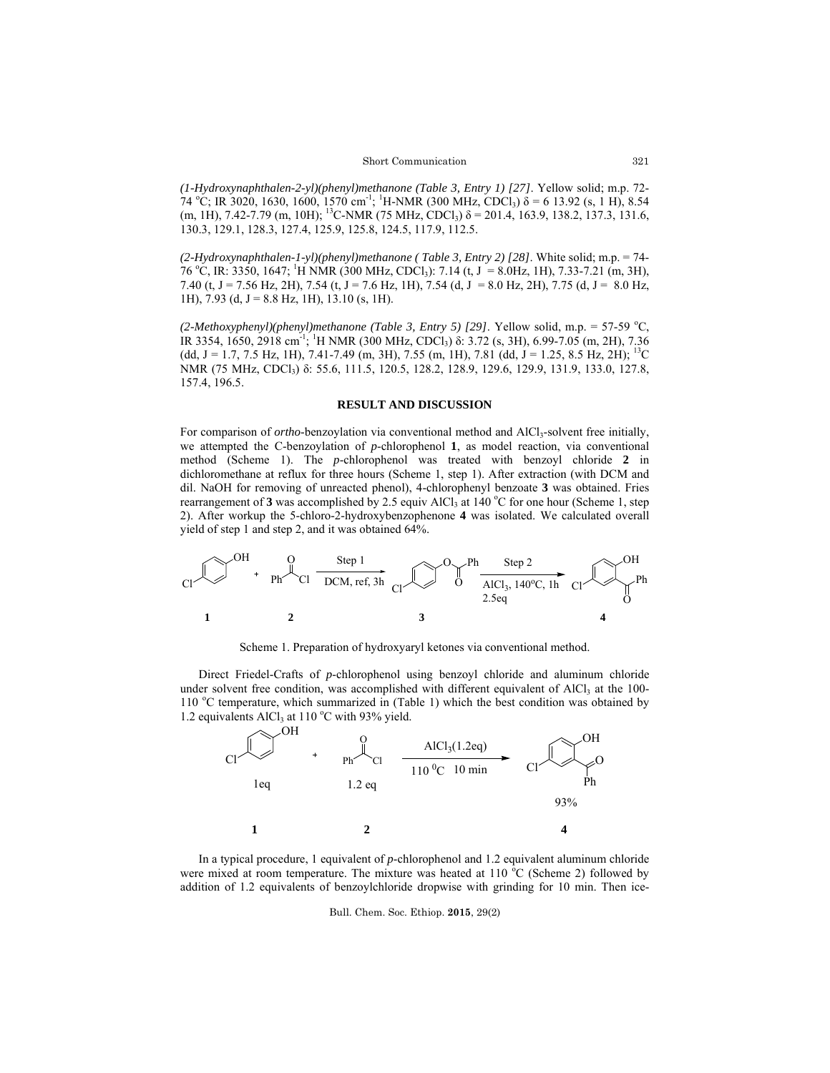*(1-Hydroxynaphthalen-2-yl)(phenyl)methanone (Table 3, Entry 1) [27]*. Yellow solid; m.p. 72- 74 °C; IR 3020, 1630, 1600, 1570 cm<sup>-1</sup>; <sup>1</sup>H-NMR (300 MHz, CDCl<sub>3</sub>)  $\delta$  = 6 13.92 (s, 1 H), 8.54 (m, 1H), 7.42-7.79 (m, 10H); <sup>13</sup>C-NMR (75 MHz, CDCl<sub>3</sub>)  $\delta$  = 201.4, 163.9, 138.2, 137.3, 131.6, 130.3, 129.1, 128.3, 127.4, 125.9, 125.8, 124.5, 117.9, 112.5.

*(2-Hydroxynaphthalen-1-yl)(phenyl)methanone ( Table 3, Entry 2) [28]*. White solid; m.p. = 74- 76 °C, IR: 3350, 1647; <sup>1</sup>H NMR (300 MHz, CDCl<sub>3</sub>): 7.14 (t, J = 8.0Hz, 1H), 7.33-7.21 (m, 3H), 7.40 (t, J = 7.56 Hz, 2H), 7.54 (t, J = 7.6 Hz, 1H), 7.54 (d, J = 8.0 Hz, 2H), 7.75 (d, J = 8.0 Hz, 1H), 7.93 (d,  $J = 8.8$  Hz, 1H), 13.10 (s, 1H).

 $(2-Methoxyphenyl)(phenyl) method (Table 3, Entry 5) [29].$  Yellow solid, m.p. = 57-59 °C, IR 3354, 1650, 2918 cm<sup>-1</sup>; <sup>1</sup>H NMR (300 MHz, CDCl<sub>3</sub>) δ: 3.72 (s, 3H), 6.99-7.05 (m, 2H), 7.36 (dd, J = 1.7, 7.5 Hz, 1H), 7.41-7.49 (m, 3H), 7.55 (m, 1H), 7.81 (dd, J = 1.25, 8.5 Hz, 2H); <sup>13</sup>C NMR (75 MHz, CDCl<sub>3</sub>) δ: 55.6, 111.5, 120.5, 128.2, 128.9, 129.6, 129.9, 131.9, 133.0, 127.8, 157.4, 196.5.

### **RESULT AND DISCUSSION**

For comparison of *ortho*-benzoylation via conventional method and AlCl<sub>3</sub>-solvent free initially, we attempted the C-benzoylation of *p*-chlorophenol **1**, as model reaction, via conventional method (Scheme 1). The *p*-chlorophenol was treated with benzoyl chloride **2** in dichloromethane at reflux for three hours (Scheme 1, step 1). After extraction (with DCM and dil. NaOH for removing of unreacted phenol), 4-chlorophenyl benzoate **3** was obtained. Fries rearrangement of 3 was accomplished by 2.5 equiv AlCl<sub>3</sub> at 140 °C for one hour (Scheme 1, step 2). After workup the 5-chloro-2-hydroxybenzophenone **4** was isolated. We calculated overall yield of step 1 and step 2, and it was obtained 64%.



Scheme 1. Preparation of hydroxyaryl ketones via conventional method.

 Direct Friedel-Crafts of *p*-chlorophenol using benzoyl chloride and aluminum chloride under solvent free condition, was accomplished with different equivalent of  $AICI<sub>3</sub>$  at the 100-110 °C temperature, which summarized in (Table 1) which the best condition was obtained by 1.2 equivalents AlCl<sub>3</sub> at 110 °C with 93% yield.



 In a typical procedure, 1 equivalent of *p*-chlorophenol and 1.2 equivalent aluminum chloride were mixed at room temperature. The mixture was heated at  $110\degree$ C (Scheme 2) followed by addition of 1.2 equivalents of benzoylchloride dropwise with grinding for 10 min. Then ice-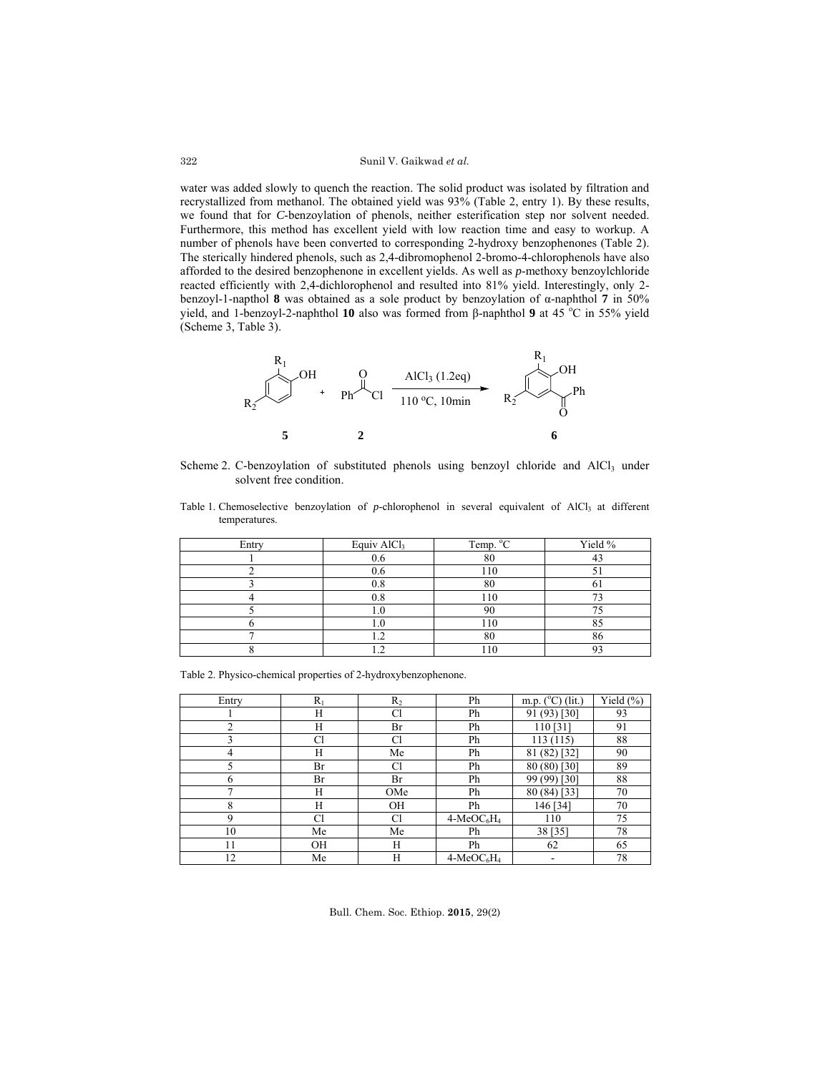water was added slowly to quench the reaction. The solid product was isolated by filtration and recrystallized from methanol. The obtained yield was 93% (Table 2, entry 1). By these results, we found that for *C*-benzoylation of phenols, neither esterification step nor solvent needed. Furthermore, this method has excellent yield with low reaction time and easy to workup. A number of phenols have been converted to corresponding 2-hydroxy benzophenones (Table 2). The sterically hindered phenols, such as 2,4-dibromophenol 2-bromo-4-chlorophenols have also afforded to the desired benzophenone in excellent yields. As well as *p*-methoxy benzoylchloride reacted efficiently with 2,4-dichlorophenol and resulted into 81% yield. Interestingly, only 2 benzoyl-1-napthol **8** was obtained as a sole product by benzoylation of α-naphthol **7** in 50% yield, and 1-benzoyl-2-naphthol 10 also was formed from β-naphthol 9 at 45 °C in 55% yield (Scheme 3, Table 3).



Scheme 2. C-benzoylation of substituted phenols using benzoyl chloride and  $AICI<sub>3</sub>$  under solvent free condition.

Table 1. Chemoselective benzoylation of *p*-chlorophenol in several equivalent of AlCl<sub>3</sub> at different temperatures.

| Entry | Equiv AlCl <sub>3</sub> | Temp. $\mathrm{C}$ | Yield % |
|-------|-------------------------|--------------------|---------|
|       | $_{0.6}$                | 80                 |         |
|       | U.O                     |                    |         |
|       | $_{0.8}$                |                    | O.      |
|       | $_{0.8}$                | 110                | ~       |
|       |                         |                    |         |
|       | '.0                     |                    |         |
|       |                         | 80                 | 86      |
|       |                         |                    |         |

Table 2. Physico-chemical properties of 2-hydroxybenzophenone.

| Entry | $R_1$     | $R_2$          | Ph          | m.p. $(^{\circ}C)$ (lit.) | Yield $(\% )$ |
|-------|-----------|----------------|-------------|---------------------------|---------------|
|       | H         | Cl             | Ph          | 91 (93) [30]              | 93            |
| 2     | H         | Br             | Ph          | 110[31]                   | 91            |
| 3     | <b>Cl</b> | Cl             | Ph          | 113(115)                  | 88            |
| 4     | H         | Me             | Ph          | 81 (82) [32]              | 90            |
|       | Br        | C <sub>1</sub> | Ph          | 80 (80) [30]              | 89            |
| 6     | Br        | Br             | Ph          | 99 (99) [30]              | 88            |
| 7     | H         | OMe            | Ph          | 80 (84) [33]              | 70            |
| 8     | H         | <b>OH</b>      | Ph          | 146 [34]                  | 70            |
| 9     | <b>Cl</b> | <b>Cl</b>      | $4-MeOC6H4$ | 110                       | 75            |
| 10    | Me        | Me             | Ph          | 38 [35]                   | 78            |
| 11    | <b>OH</b> | Н              | Ph          | 62                        | 65            |
| 12    | Me        | H              | $4-MeOC6H4$ |                           | 78            |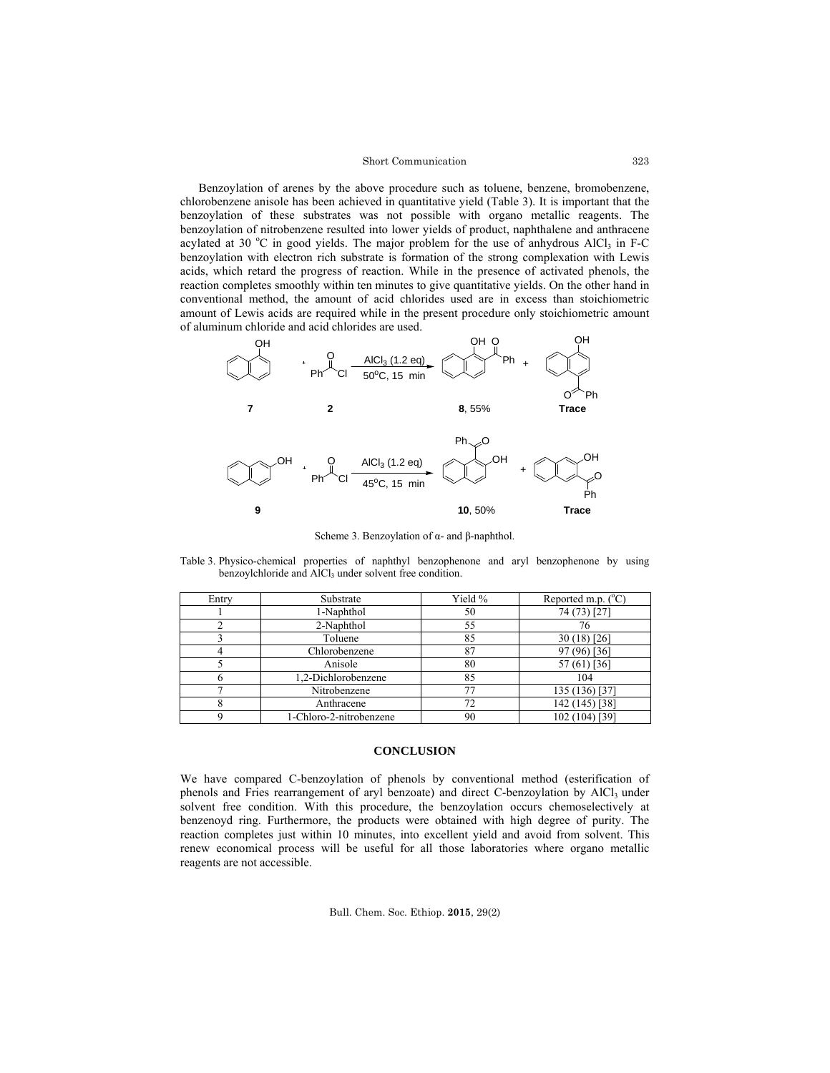### Short Communication

 Benzoylation of arenes by the above procedure such as toluene, benzene, bromobenzene, chlorobenzene anisole has been achieved in quantitative yield (Table 3). It is important that the benzoylation of these substrates was not possible with organo metallic reagents. The benzoylation of nitrobenzene resulted into lower yields of product, naphthalene and anthracene acylated at 30 °C in good yields. The major problem for the use of anhydrous AlCl<sub>3</sub> in F-C benzoylation with electron rich substrate is formation of the strong complexation with Lewis acids, which retard the progress of reaction. While in the presence of activated phenols, the reaction completes smoothly within ten minutes to give quantitative yields. On the other hand in conventional method, the amount of acid chlorides used are in excess than stoichiometric amount of Lewis acids are required while in the present procedure only stoichiometric amount of aluminum chloride and acid chlorides are used.



Scheme 3. Benzoylation of  $\alpha$ - and β-naphthol

Table 3. Physico-chemical properties of naphthyl benzophenone and aryl benzophenone by using benzoylchloride and AlCl<sub>3</sub> under solvent free condition.

| Entry | Substrate               | Yield % | Reported m.p. $(^{\circ}C)$ |
|-------|-------------------------|---------|-----------------------------|
|       | 1-Naphthol              | 50      | 74 (73) [27                 |
|       | 2-Naphthol              | 55      | 76                          |
|       | Toluene                 | 85      | $30(18)$ [26]               |
|       | Chlorobenzene           | 87      | 97 (96) [36]                |
|       | Anisole                 | 80      | 57 (61) [36]                |
|       | 1,2-Dichlorobenzene     | 85      | 104                         |
|       | Nitrobenzene            | 77      | 135 (136) [37]              |
|       | Anthracene              | 72      | 142 (145) [38]              |
|       | 1-Chloro-2-nitrobenzene | 90      | 102 (104) [39]              |

#### **CONCLUSION**

We have compared C-benzoylation of phenols by conventional method (esterification of phenols and Fries rearrangement of aryl benzoate) and direct C-benzoylation by  $AICI<sub>3</sub>$  under solvent free condition. With this procedure, the benzoylation occurs chemoselectively at benzenoyd ring. Furthermore, the products were obtained with high degree of purity. The reaction completes just within 10 minutes, into excellent yield and avoid from solvent. This renew economical process will be useful for all those laboratories where organo metallic reagents are not accessible.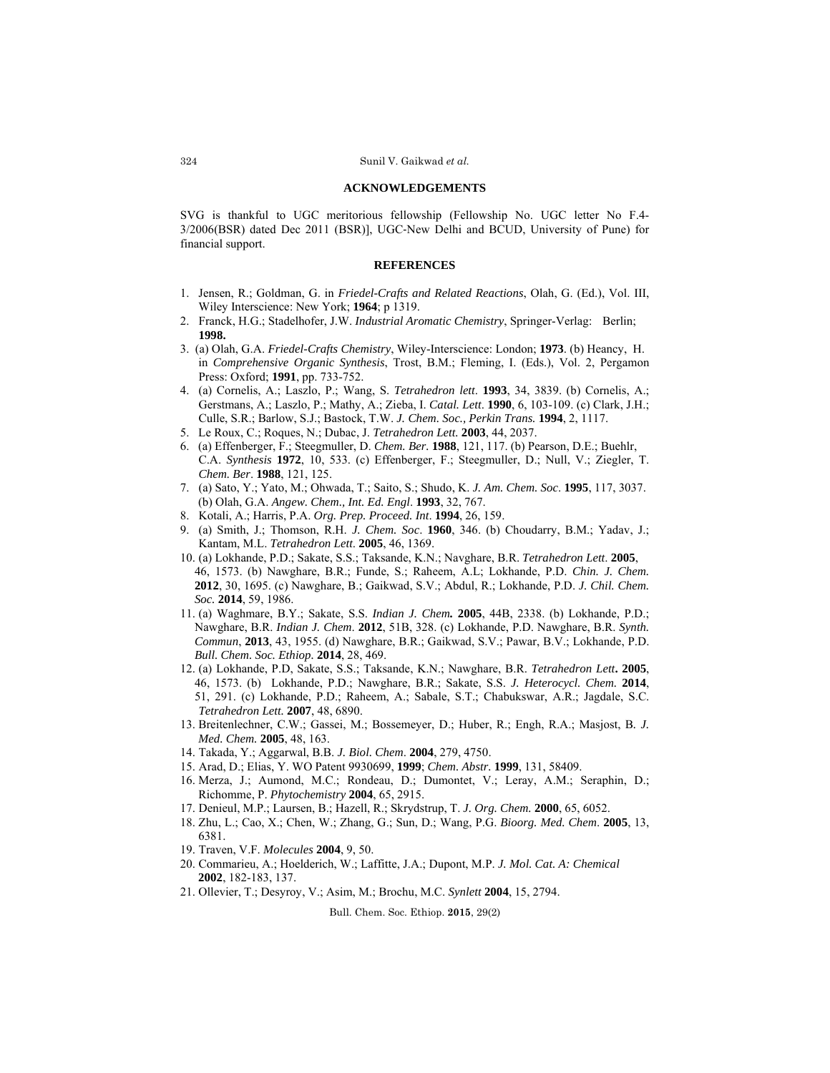#### **ACKNOWLEDGEMENTS**

SVG is thankful to UGC meritorious fellowship (Fellowship No. UGC letter No F.4- 3/2006(BSR) dated Dec 2011 (BSR)], UGC‐New Delhi and BCUD, University of Pune) for financial support.

#### **REFERENCES**

- 1. Jensen, R.; Goldman, G. in *Friedel-Crafts and Related Reactions*, Olah, G. (Ed.), Vol. III, Wiley Interscience: New York; **1964**; p 1319.
- 2. Franck, H.G.; Stadelhofer, J.W. *Industrial Aromatic Chemistry*, Springer-Verlag: Berlin; **1998.**
- 3. (a) Olah, G.A. *Friedel-Crafts Chemistry*, Wiley-Interscience: London; **1973**. (b) Heancy, H. in *Comprehensive Organic Synthesis*, Trost, B.M.; Fleming, I. (Eds.), Vol. 2, Pergamon Press: Oxford; **1991**, pp. 733-752.
- 4. (a) Cornelis, A.; Laszlo, P.; Wang, S. *Tetrahedron lett*. **1993**, 34, 3839. (b) Cornelis, A.; Gerstmans, A.; Laszlo, P.; Mathy, A.; Zieba, I. *Catal. Lett*. **1990**, 6, 103-109. (c) Clark, J.H.; Culle, S.R.; Barlow, S.J.; Bastock, T.W. *J. Chem. Soc., Perkin Trans.* **1994**, 2, 1117.
- 5. Le Roux, C.; Roques, N.; Dubac, J. *Tetrahedron Lett.* **2003**, 44, 2037.
- 6. (a) Effenberger, F.; Steegmuller, D. *Chem. Ber.* **1988**, 121, 117. (b) Pearson, D.E.; Buehlr, C.A. *Synthesis* **1972**, 10, 533. (c) Effenberger, F.; Steegmuller, D.; Null, V.; Ziegler, T. *Chem. Ber*. **1988**, 121, 125.
- 7. (a) Sato, Y.; Yato, M.; Ohwada, T.; Saito, S.; Shudo, K. *J. Am. Chem. Soc*. **1995**, 117, 3037. (b) Olah, G.A. *Angew. Chem., Int. Ed. Engl*. **1993**, 32, 767.
- 8. Kotali, A.; Harris, P.A. *Org. Prep. Proceed. Int*. **1994**, 26, 159.
- 9. (a) Smith, J.; Thomson, R.H. *J. Chem. Soc*. **1960**, 346. (b) Choudarry, B.M.; Yadav, J.; Kantam, M.L. *Tetrahedron Lett*. **2005**, 46, 1369.
- 10. (a) Lokhande, P.D.; Sakate, S.S.; Taksande, K.N.; Navghare, B.R. *Tetrahedron Lett*. **2005**, 46, 1573. (b) Nawghare, B.R.; Funde, S.; Raheem, A.L; Lokhande, P.D. *Chin. J. Chem.*  **2012**, 30, 1695. (c) Nawghare, B.; Gaikwad, S.V.; Abdul, R.; Lokhande, P.D. *J. Chil. Chem. Soc.* **2014**, 59, 1986.
- 11. (a) Waghmare, B.Y.; Sakate, S.S. *Indian J. Chem.* **2005**, 44B, 2338. (b) Lokhande, P.D.; Nawghare, B.R. *Indian J. Chem*. **2012**, 51B, 328. (c) Lokhande, P.D. Nawghare, B.R. *Synth. Commun*, **2013**, 43, 1955. (d) Nawghare, B.R.; Gaikwad, S.V.; Pawar, B.V.; Lokhande, P.D. *Bull. Chem. Soc. Ethiop.* **2014**, 28, 469.
- 12. (a) Lokhande, P.D, Sakate, S.S.; Taksande, K.N.; Nawghare, B.R. *Tetrahedron Lett***. 2005**, 46, 1573. (b) Lokhande, P.D.; Nawghare, B.R.; Sakate, S.S. *J. Heterocycl. Chem.* **2014**, 51, 291. (c) Lokhande, P.D.; Raheem, A.; Sabale, S.T.; Chabukswar, A.R.; Jagdale, S.C. *Tetrahedron Lett.* **2007**, 48, 6890.
- 13. Breitenlechner, C.W.; Gassei, M.; Bossemeyer, D.; Huber, R.; Engh, R.A.; Masjost, B*. J. Med. Chem.* **2005**, 48, 163.
- 14. Takada, Y.; Aggarwal, B.B. *J. Biol. Chem*. **2004**, 279, 4750.
- 15. Arad, D.; Elias, Y. WO Patent 9930699, **1999**; *Chem. Abstr.* **1999**, 131, 58409.
- 16. Merza, J.; Aumond, M.C.; Rondeau, D.; Dumontet, V.; Leray, A.M.; Seraphin, D.; Richomme, P. *Phytochemistry* **2004**, 65, 2915.
- 17. Denieul, M.P.; Laursen, B.; Hazell, R.; Skrydstrup, T. *J. Org. Chem.* **2000**, 65, 6052.
- 18. Zhu, L.; Cao, X.; Chen, W.; Zhang, G.; Sun, D.; Wang, P.G. *Bioorg. Med. Chem*. **2005**, 13, 6381.
- 19. Traven, V.F. *Molecules* **2004**, 9, 50.
- 20. Commarieu, A.; Hoelderich, W.; Laffitte, J.A.; Dupont, M.P. *J. Mol. Cat. A: Chemical*  **2002**, 182-183, 137.
- 21. Ollevier, T.; Desyroy, V.; Asim, M.; Brochu, M.C. *Synlett* **2004**, 15, 2794.